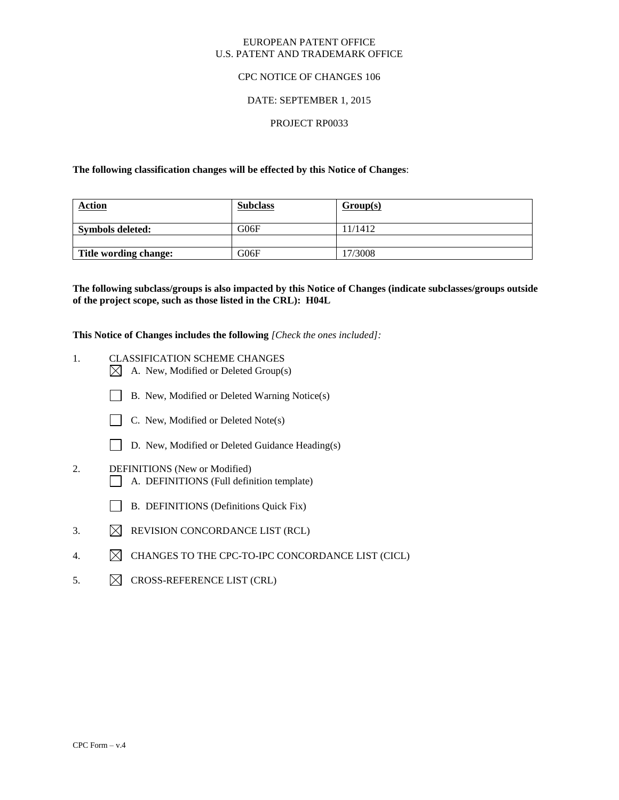#### EUROPEAN PATENT OFFICE U.S. PATENT AND TRADEMARK OFFICE

## CPC NOTICE OF CHANGES 106

## DATE: SEPTEMBER 1, 2015

## PROJECT RP0033

**The following classification changes will be effected by this Notice of Changes**:

| <b>Action</b>           | <b>Subclass</b> | Group(s) |
|-------------------------|-----------------|----------|
| <b>Symbols deleted:</b> | G06F            | 11/1412  |
|                         |                 |          |
| Title wording change:   | G06F            | 17/3008  |

**The following subclass/groups is also impacted by this Notice of Changes (indicate subclasses/groups outside of the project scope, such as those listed in the CRL): H04L**

**This Notice of Changes includes the following** *[Check the ones included]:*

- 1. CLASSIFICATION SCHEME CHANGES
	- $\boxtimes$  A. New, Modified or Deleted Group(s)
	- B. New, Modified or Deleted Warning Notice(s)
	- $\Box$  C. New, Modified or Deleted Note(s)
	- D. New, Modified or Deleted Guidance Heading(s)
- 2. DEFINITIONS (New or Modified)
	- A. DEFINITIONS (Full definition template)
	- B. DEFINITIONS (Definitions Quick Fix)
- 3.  $\boxtimes$  REVISION CONCORDANCE LIST (RCL)
- 4.  $\boxtimes$  CHANGES TO THE CPC-TO-IPC CONCORDANCE LIST (CICL)
- 5.  $\boxtimes$  CROSS-REFERENCE LIST (CRL)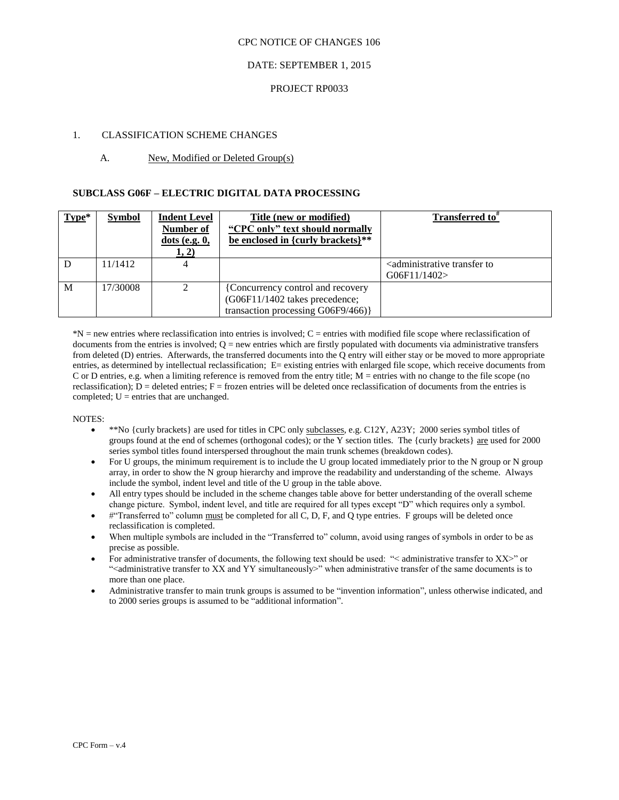## DATE: SEPTEMBER 1, 2015

#### PROJECT RP0033

## 1. CLASSIFICATION SCHEME CHANGES

## A. New, Modified or Deleted Group(s)

#### **SUBCLASS G06F – ELECTRIC DIGITAL DATA PROCESSING**

| $Type*$ | <b>Symbol</b> | <b>Indent Level</b><br><b>Number of</b><br>$dots$ (e.g. $0$ ,<br>1, 2) | Title (new or modified)<br>"CPC only" text should normally<br>be enclosed in {curly brackets}**           | Transferred to <sup>#</sup>                                           |
|---------|---------------|------------------------------------------------------------------------|-----------------------------------------------------------------------------------------------------------|-----------------------------------------------------------------------|
|         | 11/1412       |                                                                        |                                                                                                           | <administrative to<br="" transfer="">G06F11/1402&gt;</administrative> |
| M       | 17/30008      |                                                                        | {Concurrency control and recovery<br>(G06F11/1402 takes precedence;<br>transaction processing G06F9/466)} |                                                                       |

\*N = new entries where reclassification into entries is involved; C = entries with modified file scope where reclassification of documents from the entries is involved;  $Q =$  new entries which are firstly populated with documents via administrative transfers from deleted (D) entries. Afterwards, the transferred documents into the Q entry will either stay or be moved to more appropriate entries, as determined by intellectual reclassification; E= existing entries with enlarged file scope, which receive documents from C or D entries, e.g. when a limiting reference is removed from the entry title;  $M =$  entries with no change to the file scope (no reclassification);  $D =$  deleted entries;  $F =$  frozen entries will be deleted once reclassification of documents from the entries is completed;  $U =$  entries that are unchanged.

- \*\*No {curly brackets} are used for titles in CPC only subclasses, e.g. C12Y, A23Y; 2000 series symbol titles of groups found at the end of schemes (orthogonal codes); or the Y section titles. The {curly brackets} are used for 2000 series symbol titles found interspersed throughout the main trunk schemes (breakdown codes).
- For U groups, the minimum requirement is to include the U group located immediately prior to the N group or N group array, in order to show the N group hierarchy and improve the readability and understanding of the scheme. Always include the symbol, indent level and title of the U group in the table above.
- All entry types should be included in the scheme changes table above for better understanding of the overall scheme change picture. Symbol, indent level, and title are required for all types except "D" which requires only a symbol.
- #"Transferred to" column must be completed for all C, D, F, and Q type entries. F groups will be deleted once reclassification is completed.
- When multiple symbols are included in the "Transferred to" column, avoid using ranges of symbols in order to be as precise as possible.
- For administrative transfer of documents, the following text should be used: "< administrative transfer to XX>" or "<administrative transfer to XX and YY simultaneously>" when administrative transfer of the same documents is to more than one place.
- Administrative transfer to main trunk groups is assumed to be "invention information", unless otherwise indicated, and to 2000 series groups is assumed to be "additional information".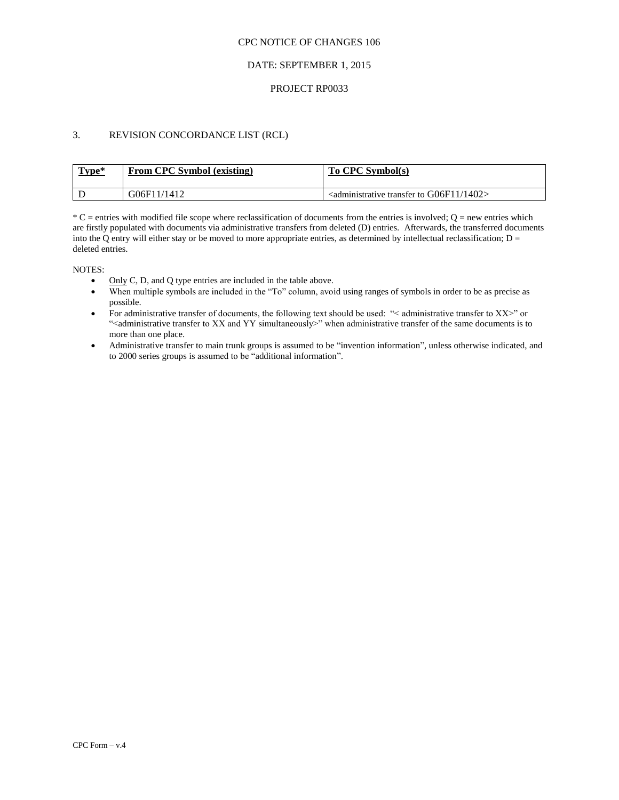## DATE: SEPTEMBER 1, 2015

#### PROJECT RP0033

## 3. REVISION CONCORDANCE LIST (RCL)

| Type* | From CPC Symbol (existing) | To CPC Symbol(s)                                                             |
|-------|----------------------------|------------------------------------------------------------------------------|
|       | G(6F11/1412)               | $\sim$ <administrative 1402="" g06f11="" to="" transfer=""></administrative> |

 $*C$  = entries with modified file scope where reclassification of documents from the entries is involved;  $Q$  = new entries which are firstly populated with documents via administrative transfers from deleted (D) entries. Afterwards, the transferred documents into the Q entry will either stay or be moved to more appropriate entries, as determined by intellectual reclassification;  $D =$ deleted entries.

- $\bullet$  Only C, D, and Q type entries are included in the table above.
- When multiple symbols are included in the "To" column, avoid using ranges of symbols in order to be as precise as possible.
- For administrative transfer of documents, the following text should be used: "< administrative transfer to XX>" or ">
"<administrative transfer to XX and YY simultaneously>" when administrative transfer of the same documents is to more than one place.
- Administrative transfer to main trunk groups is assumed to be "invention information", unless otherwise indicated, and to 2000 series groups is assumed to be "additional information".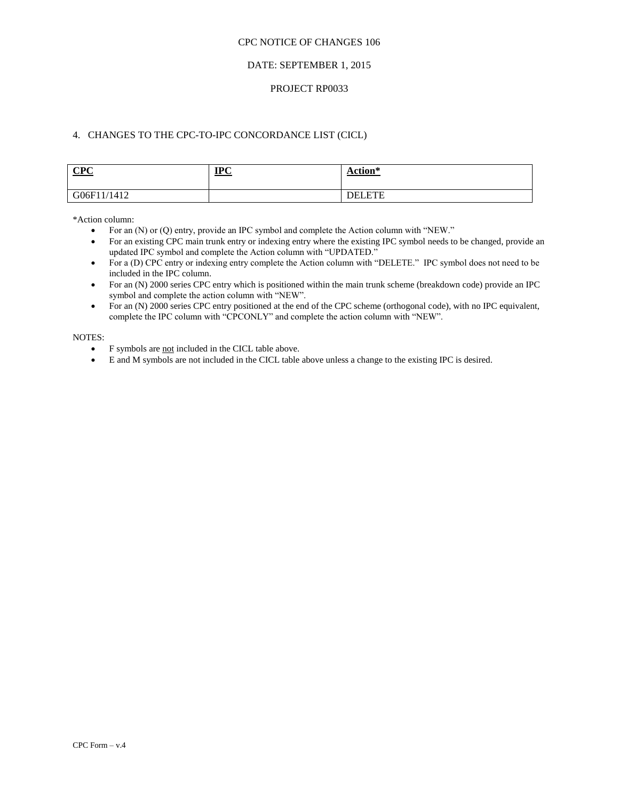## DATE: SEPTEMBER 1, 2015

#### PROJECT RP0033

# 4. CHANGES TO THE CPC-TO-IPC CONCORDANCE LIST (CICL)

| CPC         | $IPC$ | Action*       |
|-------------|-------|---------------|
| G06F11/1412 |       | <b>DELETE</b> |

\*Action column:

- For an (N) or (Q) entry, provide an IPC symbol and complete the Action column with "NEW."
- For an existing CPC main trunk entry or indexing entry where the existing IPC symbol needs to be changed, provide an updated IPC symbol and complete the Action column with "UPDATED."
- For a (D) CPC entry or indexing entry complete the Action column with "DELETE." IPC symbol does not need to be included in the IPC column.
- For an (N) 2000 series CPC entry which is positioned within the main trunk scheme (breakdown code) provide an IPC symbol and complete the action column with "NEW".
- For an (N) 2000 series CPC entry positioned at the end of the CPC scheme (orthogonal code), with no IPC equivalent, complete the IPC column with "CPCONLY" and complete the action column with "NEW".

- F symbols are not included in the CICL table above.
- E and M symbols are not included in the CICL table above unless a change to the existing IPC is desired.